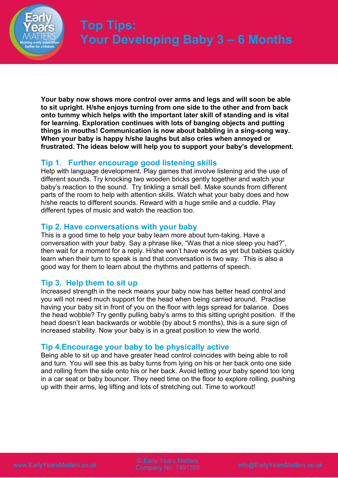

**Your baby now shows more control over arms and legs and will soon be able to sit upright. H/she enjoys turning from one side to the other and from back onto tummy which helps with the important later skill of standing and is vital for learning. Exploration continues with lots of banging objects and putting things in mouths! Communication is now about babbling in a sing-song way. When your baby is happy h/she laughs but also cries when annoyed or frustrated. The ideas below will help you to support your baby's development.**

## **Tip 1. Further encourage good listening skills**

Help with language development. Play games that involve listening and the use of different sounds. Try knocking two wooden bricks gently together and watch your baby's reaction to the sound. Try tinkling a small bell. Make sounds from different parts of the room to help with attention skills. Watch what your baby does and how h/she reacts to different sounds. Reward with a huge smile and a cuddle. Play different types of music and watch the reaction too.

## **Tip 2. Have conversations with your baby**

This is a good time to help your baby learn more about turn-taking. Have a conversation with your baby. Say a phrase like, "Was that a nice sleep you had?", then wait for a moment for a reply. H/she won't have words as yet but babies quickly learn when their turn to speak is and that conversation is two way. This is also a good way for them to learn about the rhythms and patterns of speech.

## **Tip 3. Help them to sit up**

Increased strength in the neck means your baby now has better head control and you will not need much support for the head when being carried around. Practise having your baby sit in front of you on the floor with legs spread for balance. Does the head wobble? Try gently pulling baby's arms to this sitting upright position. If the head doesn't lean backwards or wobble (by about 5 months), this is a sure sign of increased stability. Now your baby is in a great position to view the world.

## **Tip 4.Encourage your baby to be physically active**

Being able to sit up and have greater head control coincides with being able to roll and turn. You will see this as baby turns from lying on his or her back onto one side and rolling from the side onto his or her back. Avoid letting your baby spend too long in a car seat or baby bouncer. They need time on the floor to explore rolling, pushing up with their arms, leg lifting and lots of stretching out. Time to workout!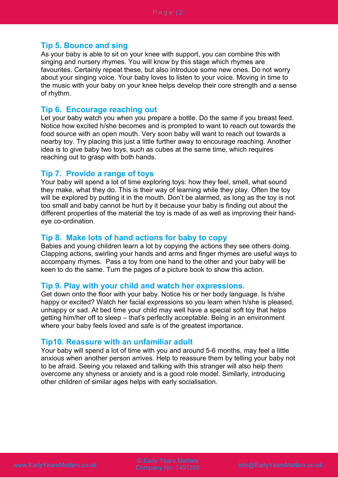### **Tip 5. Bounce and sing**

As your baby is able to sit on your knee with support, you can combine this with singing and nursery rhymes. You will know by this stage which rhymes are favourites. Certainly repeat these, but also introduce some new ones. Do not worry about your singing voice. Your baby loves to listen to your voice. Moving in time to the music with your baby on your knee helps develop their core strength and a sense of rhythm.

#### **Tip 6. Encourage reaching out**

Let your baby watch you when you prepare a bottle. Do the same if you breast feed. Notice how excited h/she becomes and is prompted to want to reach out towards the food source with an open mouth. Very soon baby will want to reach out towards a nearby toy. Try placing this just a little further away to encourage reaching. Another idea is to give baby two toys, such as cubes at the same time, which requires reaching out to grasp with both hands.

#### **Tip 7. Provide a range of toys**

Your baby will spend a lot of time exploring toys: how they feel, smell, what sound they make, what they do. This is their way of learning while they play. Often the toy will be explored by putting it in the mouth. Don't be alarmed, as long as the toy is not too small and baby cannot be hurt by it because your baby is finding out about the different properties of the material the toy is made of as well as improving their handeye co-ordination.

### **Tip 8. Make lots of hand actions for baby to copy**

Babies and young children learn a lot by copying the actions they see others doing. Clapping actions, swirling your hands and arms and finger rhymes are useful ways to accompany rhymes. Pass a toy from one hand to the other and your baby will be keen to do the same. Turn the pages of a picture book to show this action.

#### **Tip 9. Play with your child and watch her expressions.**

Get down onto the floor with your baby. Notice his or her body language. Is h/she happy or excited? Watch her facial expressions so you learn when h/she is pleased, unhappy or sad. At bed time your child may well have a special soft toy that helps getting him/her off to sleep – that's perfectly acceptable. Being in an environment where your baby feels loved and safe is of the greatest importance.

#### **Tip10. Reassure with an unfamiliar adult**

Your baby will spend a lot of time with you and around 5-6 months, may feel a little anxious when another person arrives. Help to reassure them by telling your baby not to be afraid. Seeing you relaxed and talking with this stranger will also help them overcome any shyness or anxiety and is a good role model. Similarly, introducing other children of similar ages helps with early socialisation.